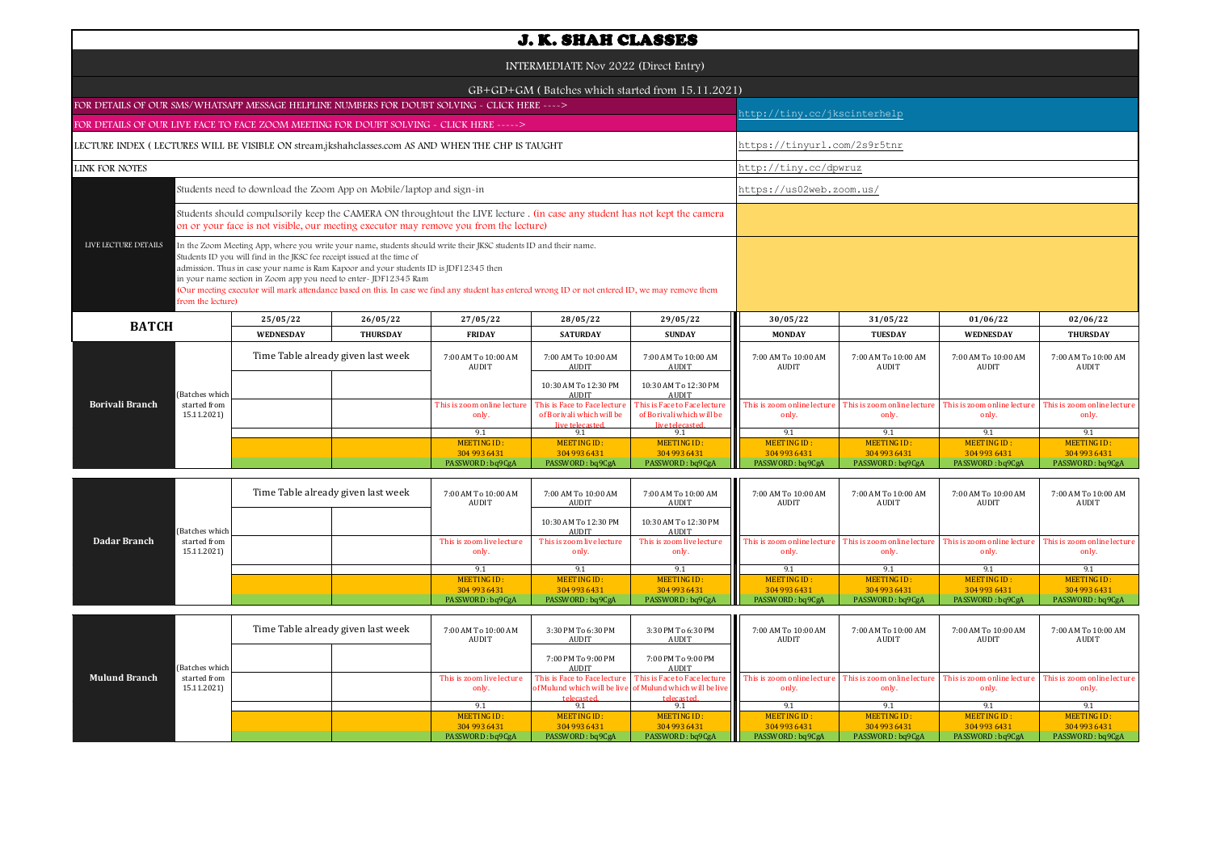| <b>J. K. SHAH CLASSES</b>                                                                                                                                                                                                                                                                                                                                                                                                                                                                                                                                |                             |                                    |                 |                                                                                                                                                                                                                     |                                                                              |                                                                              |                                     |                                     |                                      |                                      |  |  |
|----------------------------------------------------------------------------------------------------------------------------------------------------------------------------------------------------------------------------------------------------------------------------------------------------------------------------------------------------------------------------------------------------------------------------------------------------------------------------------------------------------------------------------------------------------|-----------------------------|------------------------------------|-----------------|---------------------------------------------------------------------------------------------------------------------------------------------------------------------------------------------------------------------|------------------------------------------------------------------------------|------------------------------------------------------------------------------|-------------------------------------|-------------------------------------|--------------------------------------|--------------------------------------|--|--|
| INTERMEDIATE Nov 2022 (Direct Entry)                                                                                                                                                                                                                                                                                                                                                                                                                                                                                                                     |                             |                                    |                 |                                                                                                                                                                                                                     |                                                                              |                                                                              |                                     |                                     |                                      |                                      |  |  |
|                                                                                                                                                                                                                                                                                                                                                                                                                                                                                                                                                          |                             |                                    |                 | GB+GD+GM (Batches which started from 15.11.2021)                                                                                                                                                                    |                                                                              |                                                                              |                                     |                                     |                                      |                                      |  |  |
| FOR DETAILS OF OUR SMS/WHATSAPP MESSAGE HELPLINE NUMBERS FOR DOUBT SOLVING - CLICK HERE ---->                                                                                                                                                                                                                                                                                                                                                                                                                                                            |                             |                                    |                 |                                                                                                                                                                                                                     |                                                                              |                                                                              |                                     | nttp://tiny.cc/jkscinterhelp        |                                      |                                      |  |  |
| FOR DETAILS OF OUR LIVE FACE TO FACE ZOOM MEETING FOR DOUBT SOLVING - CLICK HERE ----->                                                                                                                                                                                                                                                                                                                                                                                                                                                                  |                             |                                    |                 |                                                                                                                                                                                                                     |                                                                              |                                                                              |                                     |                                     |                                      |                                      |  |  |
| LECTURE INDEX (LECTURES WILL BE VISIBLE ON stream.jkshahclasses.com AS AND WHEN THE CHP IS TAUGHT                                                                                                                                                                                                                                                                                                                                                                                                                                                        |                             |                                    |                 |                                                                                                                                                                                                                     |                                                                              |                                                                              | https://tinyurl.com/2s9r5tnr        |                                     |                                      |                                      |  |  |
| <b>LINK FOR NOTES</b>                                                                                                                                                                                                                                                                                                                                                                                                                                                                                                                                    |                             |                                    |                 |                                                                                                                                                                                                                     |                                                                              |                                                                              | http://tiny.cc/dpwruz               |                                     |                                      |                                      |  |  |
| Students need to download the Zoom App on Mobile/laptop and sign-in                                                                                                                                                                                                                                                                                                                                                                                                                                                                                      |                             |                                    |                 |                                                                                                                                                                                                                     |                                                                              | https://us02web.zoom.us/                                                     |                                     |                                     |                                      |                                      |  |  |
|                                                                                                                                                                                                                                                                                                                                                                                                                                                                                                                                                          |                             |                                    |                 | Students should compulsorily keep the CAMERA ON throughtout the LIVE lecture. (in case any student has not kept the camera<br>on or your face is not visible, our meeting executor may remove you from the lecture) |                                                                              |                                                                              |                                     |                                     |                                      |                                      |  |  |
| LIVE LECTURE DETAILS<br>In the Zoom Meeting App, where you write your name, students should write their JKSC students ID and their name.<br>Students ID you will find in the JKSC fee receipt issued at the time of<br>admission. Thus in case your name is Ram Kapoor and your students ID is JDF12345 then<br>in your name section in Zoom app you need to enter-JDF12345 Ram<br>(Our meeting executor will mark attendance based on this. In case we find any student has entered wrong ID or not entered ID, we may remove them<br>from the lecture) |                             |                                    |                 |                                                                                                                                                                                                                     |                                                                              |                                                                              |                                     |                                     |                                      |                                      |  |  |
| <b>BATCH</b>                                                                                                                                                                                                                                                                                                                                                                                                                                                                                                                                             |                             | 25/05/22                           | 26/05/22        | 27/05/22                                                                                                                                                                                                            | 28/05/22                                                                     | 29/05/22                                                                     | 30/05/22                            | 31/05/22                            | 01/06/22                             | 02/06/22                             |  |  |
|                                                                                                                                                                                                                                                                                                                                                                                                                                                                                                                                                          |                             | <b>WEDNESDAY</b>                   | <b>THURSDAY</b> | <b>FRIDAY</b>                                                                                                                                                                                                       | <b>SATURDAY</b>                                                              | <b>SUNDAY</b>                                                                | <b>MONDAY</b>                       | <b>TUESDAY</b>                      | <b>WEDNESDAY</b>                     | <b>THURSDAY</b>                      |  |  |
|                                                                                                                                                                                                                                                                                                                                                                                                                                                                                                                                                          |                             | Time Table already given last week |                 | 7:00 AM To 10:00 AM<br>AUDIT                                                                                                                                                                                        | 7:00 AM To 10:00 AM<br>AUDIT                                                 | 7:00 AM To 10:00 AM<br><b>AUDIT</b>                                          | 7:00 AM To 10:00 AM<br>AUDIT        | 7:00 AM To 10:00 AM<br>AUDIT        | 7:00 AM To 10:00 AM<br>AUDIT         | 7:00 AM To 10:00 AM<br>AUDIT         |  |  |
|                                                                                                                                                                                                                                                                                                                                                                                                                                                                                                                                                          | (Batches which              |                                    |                 |                                                                                                                                                                                                                     | 10:30 AM To 12:30 PM<br><b>AUDIT</b>                                         | 10:30 AM To 12:30 PM<br><b>AUDIT</b>                                         |                                     |                                     |                                      |                                      |  |  |
| <b>Borivali Branch</b>                                                                                                                                                                                                                                                                                                                                                                                                                                                                                                                                   | started from<br>15.11.2021) |                                    |                 | This is zoom online lecture<br>only.                                                                                                                                                                                | This is Face to Face lecture<br>of Borivali which will be<br>live telecasted | This is Face to Face lecture<br>of Borivali which will be<br>live telecaster | This is zoom online lectur<br>only. | This is zoom online lectur<br>only. | This is zoom online lecture<br>only. | This is zoom online lecture<br>only. |  |  |
|                                                                                                                                                                                                                                                                                                                                                                                                                                                                                                                                                          |                             |                                    |                 | 9.1                                                                                                                                                                                                                 | 9.1                                                                          | 9.1                                                                          | 9.1                                 | 9.1                                 | 9.1                                  | 9.1                                  |  |  |
|                                                                                                                                                                                                                                                                                                                                                                                                                                                                                                                                                          |                             |                                    |                 | MEETING ID:<br>304 993 6431                                                                                                                                                                                         | MEETING ID:<br>304 993 6431                                                  | MEETING ID:<br>304 993 6431                                                  | <b>MEETING ID:</b><br>304 993 6431  | <b>MEETING ID:</b><br>304 993 6431  | <b>MEETING ID:</b><br>304 993 6431   | <b>MEETING ID:</b><br>304 993 6431   |  |  |
|                                                                                                                                                                                                                                                                                                                                                                                                                                                                                                                                                          |                             |                                    |                 | PASSWORD: ba9CgA                                                                                                                                                                                                    | PASSWORD: ba9CgA                                                             | PASSWORD: ba9CgA                                                             | PASSWORD: ba9CgA                    | PASSWORD: ba9CgA                    | PASSWORD: ba9CgA                     | PASSWORD: ba9CgA                     |  |  |
|                                                                                                                                                                                                                                                                                                                                                                                                                                                                                                                                                          |                             |                                    |                 |                                                                                                                                                                                                                     |                                                                              |                                                                              |                                     |                                     |                                      |                                      |  |  |

|              |                | Time Table already given last week |  | 7:00 AM To 10:00 AM<br>AUDIT | 7:00 AM To 10:00 AM<br>AUDIT  | 7:00 AM To 10:00 AM<br>AUDIT  | 7:00 AM To 10:00 AM<br>AUDIT | 7:00 AM To 10:00 AM<br>AUDIT | 7:00 AM To 10:00 AM<br>AUDIT | 7:00 AM To 10:00 AM<br>AUDIT |
|--------------|----------------|------------------------------------|--|------------------------------|-------------------------------|-------------------------------|------------------------------|------------------------------|------------------------------|------------------------------|
|              | (Batches which |                                    |  |                              | 10:30 AM To 12:30 PM<br>AUDIT | 10:30 AM To 12:30 PM<br>AUDIT |                              |                              |                              |                              |
| Dadar Branch | started from   |                                    |  | This is zoom live lecture    | This is zoom live lecture     | This is zoom live lecture     | This is zoom online lecture  | This is zoom online lecture  | This is zoom online lecture  | "his is zoom online lecture  |
|              | 15.11.2021)    |                                    |  | only.                        | only.                         | only.                         | only.                        | only.                        | only.                        | only.                        |
|              |                |                                    |  | 91                           |                               | 9.1                           |                              |                              |                              |                              |
|              |                |                                    |  | MEETING ID:                  | MEETING ID:                   | MEETING ID:                   | MEETING ID:                  | MEETING ID:                  | MEETING ID:                  | MEETING ID:                  |
|              |                |                                    |  | 304 993 6431                 | 304 993 6431                  | 304 993 6431                  | 304 993 6431                 | 304 993 6431                 | 304 993 6431                 | 304 993 6431                 |
|              |                |                                    |  | PASSWORD: bq9CgA             | PASSWORD: bq9CgA              | PASSWORD: bq9CgA              | PASSWORD: bq9CgA             | PASSWORD: bq9CgA             | PASSWORD: bq9CgA             | PASSWORD: bq9CgA             |

| <b>Mulund Branch</b> |                | Time Table already given last week |  | 7:00 AM To 10:00 AM<br>AUDIT | 3:30 PM To 6:30 PM<br>AUDIT | 3:30 PM To 6:30 PM<br>AUDIT                               | 7:00 AM To 10:00 AM<br>AUDIT                                                                                                                                              | 7:00 AM To 10:00 AM<br>AUDIT | 7:00 AM To 10:00 AM<br>AUDIT | 7:00 AM To 10:00 AM<br>AUDIT |
|----------------------|----------------|------------------------------------|--|------------------------------|-----------------------------|-----------------------------------------------------------|---------------------------------------------------------------------------------------------------------------------------------------------------------------------------|------------------------------|------------------------------|------------------------------|
|                      | (Batches which |                                    |  |                              | 7:00 PM To 9:00 PM<br>AUDIT | 7:00 PM To 9:00 PM<br>AUDIT                               |                                                                                                                                                                           |                              |                              |                              |
|                      | started from   |                                    |  | This is zoom live lecture    |                             |                                                           | This is Face to Face lecture This is Face to Face lecture This is zoom online lecture This is zoom online lecture This is zoom online lecture This is zoom online lecture |                              |                              |                              |
|                      | 15.11.2021)    |                                    |  | only.                        |                             | of Mulund which will be live of Mulund which will be live | only.                                                                                                                                                                     | only.                        | only.                        | only.                        |
|                      |                |                                    |  |                              | telecasted                  | telecasted                                                |                                                                                                                                                                           |                              |                              |                              |
|                      |                |                                    |  |                              |                             |                                                           |                                                                                                                                                                           |                              |                              |                              |
|                      |                |                                    |  | MEETING ID:                  | MEETING ID:                 | MEETING ID:                                               | MEETING ID:                                                                                                                                                               | MEETING ID:                  | MEETING ID:                  | MEETING ID:                  |
|                      |                |                                    |  | 304 993 6431                 | 304 993 6431                | 304 993 6431                                              | 304 993 6431                                                                                                                                                              | 304 993 6431                 | 304 993 6431                 | 304 993 6431                 |
|                      |                |                                    |  | PASSWORD: bq9CgA             | PASSWORD: bq9CgA            | PASSWORD: bq9CgA                                          | PASSWORD: bq9CgA                                                                                                                                                          | PASSWORD: bq9CgA             | PASSWORD: bq9CgA             | PASSWORD: bq9CgA             |